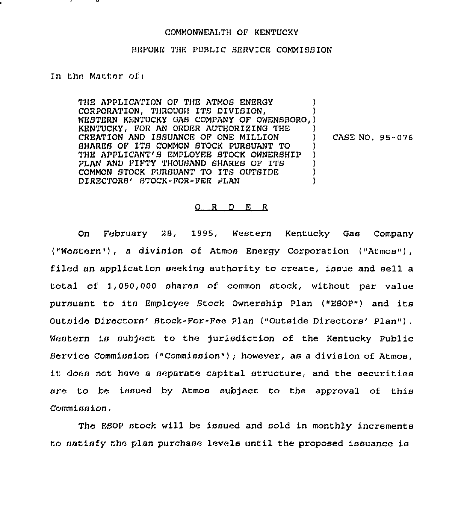## COMMONWEALTH OF KENTUCKY

## BEFORE THE PUBLIC SERVICE COMMISSION

In the Matter of:

THE APPLICATION OF THE ATMOS ENERGY CORPORATION, THROUGH ITS DIVISION, WESTERN KENTUCKY GAS COMPANY OF OWENSBORO, ) KENTUCKY, FOR AN ORDER AUTHORIZING THE CREATION AND ISSUANCE OF ONE MILLION SHARES OF ITS COMMON STOCK PURSUANT TO THE APPLICANT'S EMPLOYEE STOCK OWNERSHIP PLAN AND FIFTY THOUSAND SHARES OF ITS COMMON STOCK PURSUANT TO ITS OUTSIDE DIRECTORS' STOCK-FOR-FEE FLAN ١.

CASE NO. 95-076

## $Q$  R D E R

On. February 28, 1995, Western Kentucky Gas Company ("Western"), a division of Atmos Energy Corporation ("Atmos"), filed an application seeking authority to create, issue and sell a total of 1,050,000 shares of common stock, without par value pursuant to its Employee Stock Ownership Plan ("ESOP") and its Outside Directors' Stock-For-Fee Plan ("Outside Directors' Plan"). Western is subject to the jurisdiction of the Kentucky Public Bervice Commission ("Commission"); however, as a division of Atmos, it does not have a separate capital structure, and the securities are to be issued by Atmos subject to the approval of this Commission.

The EEOP stock will be issued and sold in monthly increments to satisfy the plan purchase levels until the proposed issuance is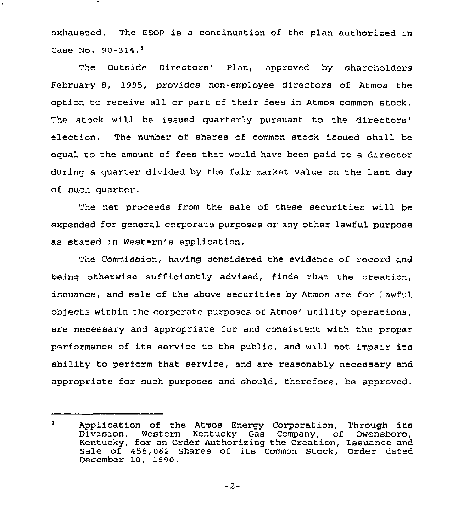exhausted. The ESOP is a continuation of the plan authorized in Case No. 90-314.<sup>1</sup>

The Outside Directors' Plan, approved by shareholders February 8, 1995, provides non-employee directors of Atmos the option to receive all or part of their fees in Atmos common stock. The stock will be issued quarterly pursuant to the directors' election. The number of shares of common stock issued shall be equal to the amount of fees that would have been paid to a director during a quarter divided by the fair market value on the last day of such quarter.

The net proceeds from the sale of these securities will be expended for general corporate purposes or any other lawful purpose as stated in Western's application.

The Commission, having considered the evidence of record and being otherwise sufficiently advised, finds that the creation, issuance, and sale of the above securities by Atmos are for lawful objects within the corporate purposes of Atmos' utility operations, are necessary and appropriate for and consistent with the proper performance of its service to the public, and will not impair its ability to perform that service, and are reasonably necessary and appropriate for such purposes and should, therefore, be approved.

 $\mathbf{1}$ Application of the Atmos Energy Corporation, Through its<br>Division, Western Kentucky Gas Company, of Owensboro, Western Kentucky Gas Company, of Owensboro, Kentucky, for an Order Authorizing the Creation, Issuance and Sale of 458,062 Shares of its Common Stock, Order dated December 10, 1990.